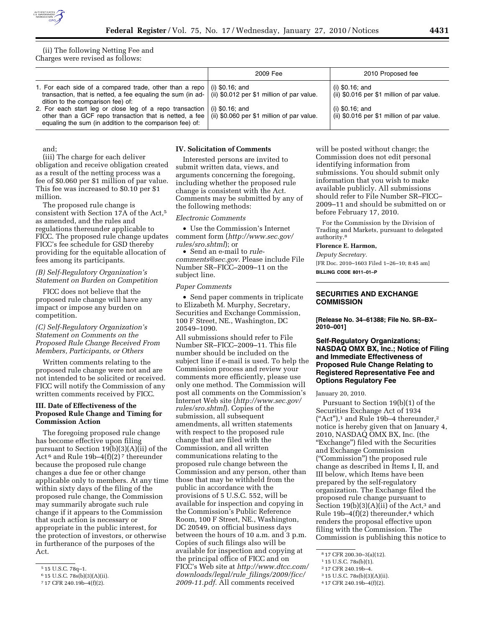

(ii) The following Netting Fee and Charges were revised as follows:

|                                                                                                                                                                                                                                                        | 2009 Fee | 2010 Proposed fee                                               |
|--------------------------------------------------------------------------------------------------------------------------------------------------------------------------------------------------------------------------------------------------------|----------|-----------------------------------------------------------------|
| 1. For each side of a compared trade, other than a repo $\mid$ (i) \$0.16; and<br>transaction, that is netted, a fee equaling the sum (in ad- $\vert$ (ii) \$0.012 per \$1 million of par value.<br>dition to the comparison fee) of:                  |          | (i) $$0.16$ ; and<br>(ii) \$0.016 per \$1 million of par value. |
| 2. For each start leg or close leg of a repo transaction $ $ (i) \$0.16; and<br>other than a GCF repo transaction that is netted, a fee $\vert$ (ii) \$0.060 per \$1 million of par value.<br>equaling the sum (in addition to the comparison fee) of: |          | (i) $$0.16$ ; and<br>(ii) \$0.016 per \$1 million of par value. |

and;

(iii) The charge for each deliver obligation and receive obligation created as a result of the netting process was a fee of \$0.060 per \$1 million of par value. This fee was increased to \$0.10 per \$1 million.

The proposed rule change is consistent with Section 17A of the Act,5 as amended, and the rules and regulations thereunder applicable to FICC. The proposed rule change updates FICC's fee schedule for GSD thereby providing for the equitable allocation of fees among its participants.

### *(B) Self-Regulatory Organization's Statement on Burden on Competition*

FICC does not believe that the proposed rule change will have any impact or impose any burden on competition.

## *(C) Self-Regulatory Organization's Statement on Comments on the Proposed Rule Change Received From Members, Participants, or Others*

Written comments relating to the proposed rule change were not and are not intended to be solicited or received. FICC will notify the Commission of any written comments received by FICC.

### **III. Date of Effectiveness of the Proposed Rule Change and Timing for Commission Action**

The foregoing proposed rule change has become effective upon filing pursuant to Section 19(b)(3)(A)(ii) of the Act  $6$  and Rule 19b–4(f)(2)  $7$  thereunder because the proposed rule change changes a due fee or other change applicable only to members. At any time within sixty days of the filing of the proposed rule change, the Commission may summarily abrogate such rule change if it appears to the Commission that such action is necessary or appropriate in the public interest, for the protection of investors, or otherwise in furtherance of the purposes of the Act.

#### **IV. Solicitation of Comments**

Interested persons are invited to submit written data, views, and arguments concerning the foregoing, including whether the proposed rule change is consistent with the Act. Comments may be submitted by any of the following methods:

#### *Electronic Comments*

• Use the Commission's Internet comment form (*http://www.sec.gov/ rules/sro.shtml*); or

• Send an e-mail to *rulecomments@sec.gov.* Please include File Number SR–FICC–2009–11 on the subject line.

#### *Paper Comments*

• Send paper comments in triplicate to Elizabeth M. Murphy, Secretary, Securities and Exchange Commission, 100 F Street, NE., Washington, DC 20549–1090.

All submissions should refer to File Number SR–FICC–2009–11. This file number should be included on the subject line if e-mail is used. To help the Commission process and review your comments more efficiently, please use only one method. The Commission will post all comments on the Commission's Internet Web site (*http://www.sec.gov/ rules/sro.shtml*). Copies of the submission, all subsequent amendments, all written statements with respect to the proposed rule change that are filed with the Commission, and all written communications relating to the proposed rule change between the Commission and any person, other than those that may be withheld from the public in accordance with the provisions of 5 U.S.C. 552, will be available for inspection and copying in the Commission's Public Reference Room, 100 F Street, NE., Washington, DC 20549, on official business days between the hours of 10 a.m. and 3 p.m. Copies of such filings also will be available for inspection and copying at the principal office of FICC and on FICC's Web site at *http://www.dtcc.com/ downloads/legal/rule*\_*filings/2009/ficc/ 2009-11.pdf.* All comments received

will be posted without change; the Commission does not edit personal identifying information from submissions. You should submit only information that you wish to make available publicly. All submissions should refer to File Number SR–FICC– 2009–11 and should be submitted on or before February 17, 2010.

For the Commission by the Division of Trading and Markets, pursuant to delegated authority.8

#### **Florence E. Harmon,**

*Deputy Secretary.* 

[FR Doc. 2010–1603 Filed 1–26–10; 8:45 am]

**BILLING CODE 8011–01–P** 

## **SECURITIES AND EXCHANGE COMMISSION**

**[Release No. 34–61388; File No. SR–BX– 2010–001]** 

## **Self-Regulatory Organizations; NASDAQ OMX BX, Inc.; Notice of Filing and Immediate Effectiveness of Proposed Rule Change Relating to Registered Representative Fee and Options Regulatory Fee**

January 20, 2010.

Pursuant to Section 19(b)(1) of the Securities Exchange Act of 1934 ("Act"), $^1$  and Rule 19b-4 thereunder, $^2$ notice is hereby given that on January 4, 2010, NASDAQ OMX BX, Inc. (the ''Exchange'') filed with the Securities and Exchange Commission (''Commission'') the proposed rule change as described in Items I, II, and III below, which Items have been prepared by the self-regulatory organization. The Exchange filed the proposed rule change pursuant to Section  $19(b)(3)(A)(ii)$  of the Act,<sup>3</sup> and Rule  $19b-4(f)(2)$  thereunder,<sup>4</sup> which renders the proposal effective upon filing with the Commission. The Commission is publishing this notice to

<sup>5</sup> 15 U.S.C. 78q–1.

<sup>6</sup> 15 U.S.C. 78s(b)(3)(A)(ii).

<sup>7</sup> 17 CFR 240.19b–4(f)(2).

<sup>8</sup> 17 CFR 200.30–3(a)(12).

<sup>1</sup> 15 U.S.C. 78s(b)(1).

<sup>2</sup> 17 CFR 240.19b–4.

<sup>3</sup> 15 U.S.C. 78s(b)(3)(A)(ii).

<sup>4</sup> 17 CFR 240.19b–4(f)(2).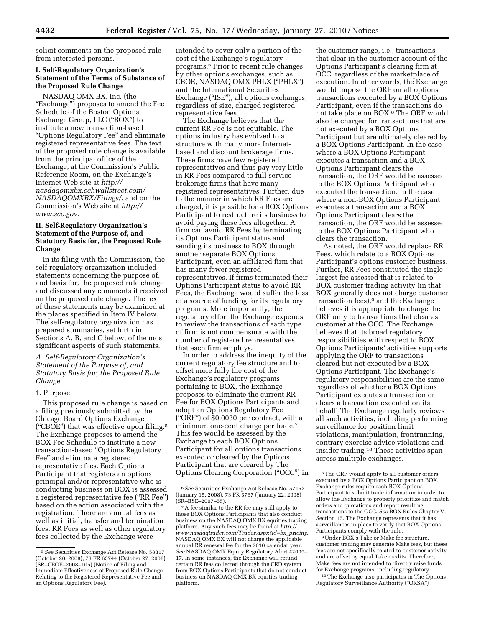solicit comments on the proposed rule from interested persons.

# **I. Self-Regulatory Organization's Statement of the Terms of Substance of the Proposed Rule Change**

NASDAQ OMX BX, Inc. (the "Exchange") proposes to amend the Fee Schedule of the Boston Options Exchange Group, LLC (''BOX'') to institute a new transaction-based ''Options Regulatory Fee'' and eliminate registered representative fees. The text of the proposed rule change is available from the principal office of the Exchange, at the Commission's Public Reference Room, on the Exchange's Internet Web site at *http:// nasdaqomxbx.cchwallstreet.com/ NASDAQOMXBX/Filings/*, and on the Commission's Web site at *http:// www.sec.gov*.

# **II. Self-Regulatory Organization's Statement of the Purpose of, and Statutory Basis for, the Proposed Rule Change**

In its filing with the Commission, the self-regulatory organization included statements concerning the purpose of, and basis for, the proposed rule change and discussed any comments it received on the proposed rule change. The text of these statements may be examined at the places specified in Item IV below. The self-regulatory organization has prepared summaries, set forth in Sections A, B, and C below, of the most significant aspects of such statements.

## *A. Self-Regulatory Organization's Statement of the Purpose of, and Statutory Basis for, the Proposed Rule Change*

#### 1. Purpose

This proposed rule change is based on a filing previously submitted by the Chicago Board Options Exchange (''CBOE'') that was effective upon filing.5 The Exchange proposes to amend the BOX Fee Schedule to institute a new transaction-based ''Options Regulatory Fee'' and eliminate registered representative fees. Each Options Participant that registers an options principal and/or representative who is conducting business on BOX is assessed a registered representative fee (''RR Fee'') based on the action associated with the registration. There are annual fees as well as initial, transfer and termination fees. RR Fees as well as other regulatory fees collected by the Exchange were

intended to cover only a portion of the cost of the Exchange's regulatory programs.6 Prior to recent rule changes by other options exchanges, such as CBOE, NASDAQ OMX PHLX (''PHLX'') and the International Securities Exchange ("ISE"), all options exchanges, regardless of size, charged registered representative fees.

The Exchange believes that the current RR Fee is not equitable. The options industry has evolved to a structure with many more Internetbased and discount brokerage firms. These firms have few registered representatives and thus pay very little in RR Fees compared to full service brokerage firms that have many registered representatives. Further, due to the manner in which RR Fees are charged, it is possible for a BOX Options Participant to restructure its business to avoid paying these fees altogether. A firm can avoid RR Fees by terminating its Options Participant status and sending its business to BOX through another separate BOX Options Participant, even an affiliated firm that has many fewer registered representatives. If firms terminated their Options Participant status to avoid RR Fees, the Exchange would suffer the loss of a source of funding for its regulatory programs. More importantly, the regulatory effort the Exchange expends to review the transactions of each type of firm is not commensurate with the number of registered representatives that each firm employs.

In order to address the inequity of the current regulatory fee structure and to offset more fully the cost of the Exchange's regulatory programs pertaining to BOX, the Exchange proposes to eliminate the current RR Fee for BOX Options Participants and adopt an Options Regulatory Fee (''ORF'') of \$0.0030 per contract, with a minimum one-cent charge per trade.7 This fee would be assessed by the Exchange to each BOX Options Participant for all options transactions executed or cleared by the Options Participant that are cleared by The Options Clearing Corporation (''OCC'') in

the customer range, i.e., transactions that clear in the customer account of the Options Participant's clearing firm at OCC, regardless of the marketplace of execution. In other words, the Exchange would impose the ORF on all options transactions executed by a BOX Options Participant, even if the transactions do not take place on BOX.8 The ORF would also be charged for transactions that are not executed by a BOX Options Participant but are ultimately cleared by a BOX Options Participant. In the case where a BOX Options Participant executes a transaction and a BOX Options Participant clears the transaction, the ORF would be assessed to the BOX Options Participant who executed the transaction. In the case where a non-BOX Options Participant executes a transaction and a BOX Options Participant clears the transaction, the ORF would be assessed to the BOX Options Participant who clears the transaction.

As noted, the ORF would replace RR Fees, which relate to a BOX Options Participant's options customer business. Further, RR Fees constituted the singlelargest fee assessed that is related to BOX customer trading activity (in that BOX generally does not charge customer transaction fees),<sup>9</sup> and the Exchange believes it is appropriate to charge the ORF only to transactions that clear as customer at the OCC. The Exchange believes that its broad regulatory responsibilities with respect to BOX Options Participants' activities supports applying the ORF to transactions cleared but not executed by a BOX Options Participant. The Exchange's regulatory responsibilities are the same regardless of whether a BOX Options Participant executes a transaction or clears a transaction executed on its behalf. The Exchange regularly reviews all such activities, including performing surveillance for position limit violations, manipulation, frontrunning, contrary exercise advice violations and insider trading.10 These activities span across multiple exchanges.

9Under BOX's Take or Make fee structure, customer trading may generate Make fees, but these fees are not specifically related to customer activity and are offset by equal Take credits. Therefore, Make fees are not intended to directly raise funds for Exchange programs, including regulatory.

10The Exchange also participates in The Options Regulatory Surveillance Authority (''ORSA'')

<sup>5</sup>*See* Securities Exchange Act Release No. 58817 (October 20, 2008), 73 FR 63744 (October 27, 2008) (SR–CBOE–2008–105) (Notice of Filing and Immediate Effectiveness of Proposed Rule Change Relating to the Registered Representative Fee and an Options Regulatory Fee).

<sup>6</sup>*See* Securities Exchange Act Release No. 57152 (January 15, 2008), 73 FR 3767 (January 22, 2008) (SR–BSE–2007–55).

<sup>7</sup>A fee similar to the RR fee may still apply to those BOX Options Participants that also conduct business on the NASDAQ OMX BX equities trading platform. Any such fees may be found at *http:// www.nasdaqtrader.com/Trader.aspx?id=bx*\_*pricing*. NASDAQ OMX BX will not charge the applicable annual RR renewal fee for the 2010 calendar year. *See* NASDAQ OMX Equity Regulatory Alert #2009– 17. In some instances, the Exchange will refund certain RR fees collected through the CRD system from BOX Options Participants that do not conduct business on NASDAQ OMX BX equities trading platform.

<sup>8</sup>The ORF would apply to all customer orders executed by a BOX Options Participant on BOX. Exchange rules require each BOX Options Participant to submit trade information in order to allow the Exchange to properly prioritize and match orders and quotations and report resulting transactions to the OCC. *See* BOX Rules Chapter V, Section 15. The Exchange represents that it has surveillances in place to verify that BOX Options Participants comply with the rule.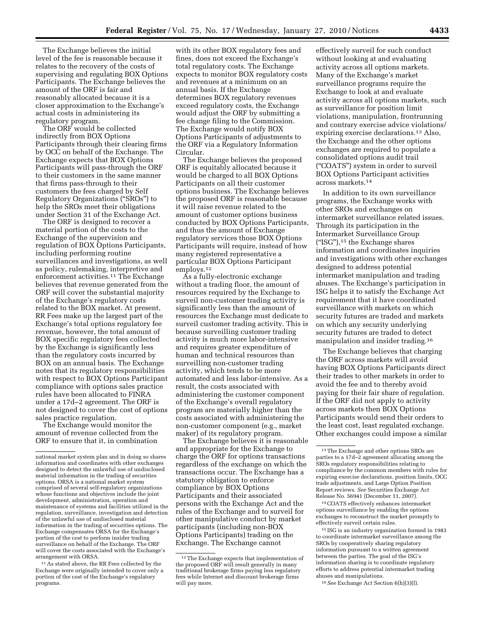The Exchange believes the initial level of the fee is reasonable because it relates to the recovery of the costs of supervising and regulating BOX Options Participants. The Exchange believes the amount of the ORF is fair and reasonably allocated because it is a closer approximation to the Exchange's actual costs in administering its

regulatory program. The ORF would be collected indirectly from BOX Options Participants through their clearing firms by OCC on behalf of the Exchange. The Exchange expects that BOX Options Participants will pass-through the ORF to their customers in the same manner that firms pass-through to their customers the fees charged by Self Regulatory Organizations (''SROs'') to help the SROs meet their obligations under Section 31 of the Exchange Act.

The ORF is designed to recover a material portion of the costs to the Exchange of the supervision and regulation of BOX Options Participants, including performing routine surveillances and investigations, as well as policy, rulemaking, interpretive and enforcement activities.<sup>11</sup> The Exchange believes that revenue generated from the ORF will cover the substantial majority of the Exchange's regulatory costs related to the BOX market. At present, RR Fees make up the largest part of the Exchange's total options regulatory fee revenue, however, the total amount of BOX specific regulatory fees collected by the Exchange is significantly less than the regulatory costs incurred by BOX on an annual basis. The Exchange notes that its regulatory responsibilities with respect to BOX Options Participant compliance with options sales practice rules have been allocated to FINRA under a 17d–2 agreement. The ORF is not designed to cover the cost of options sales practice regulation.

The Exchange would monitor the amount of revenue collected from the ORF to ensure that it, in combination

<sup>11</sup> As stated above, the RR Fees collected by the Exchange were originally intended to cover only a portion of the cost of the Exchange's regulatory programs.

with its other BOX regulatory fees and fines, does not exceed the Exchange's total regulatory costs. The Exchange expects to monitor BOX regulatory costs and revenues at a minimum on an annual basis. If the Exchange determines BOX regulatory revenues exceed regulatory costs, the Exchange would adjust the ORF by submitting a fee change filing to the Commission. The Exchange would notify BOX Options Participants of adjustments to the ORF via a Regulatory Information Circular.

The Exchange believes the proposed ORF is equitably allocated because it would be charged to all BOX Options Participants on all their customer options business. The Exchange believes the proposed ORF is reasonable because it will raise revenue related to the amount of customer options business conducted by BOX Options Participants, and thus the amount of Exchange regulatory services those BOX Options Participants will require, instead of how many registered representative a particular BOX Options Participant employs.12

As a fully-electronic exchange without a trading floor, the amount of resources required by the Exchange to surveil non-customer trading activity is significantly less than the amount of resources the Exchange must dedicate to surveil customer trading activity. This is because surveilling customer trading activity is much more labor-intensive and requires greater expenditure of human and technical resources than surveilling non-customer trading activity, which tends to be more automated and less labor-intensive. As a result, the costs associated with administering the customer component of the Exchange's overall regulatory program are materially higher than the costs associated with administering the non-customer component (e.g., market maker) of its regulatory program.

The Exchange believes it is reasonable and appropriate for the Exchange to charge the ORF for options transactions regardless of the exchange on which the transactions occur. The Exchange has a statutory obligation to enforce compliance by BOX Options Participants and their associated persons with the Exchange Act and the rules of the Exchange and to surveil for other manipulative conduct by market participants (including non-BOX Options Participants) trading on the Exchange. The Exchange cannot

effectively surveil for such conduct without looking at and evaluating activity across all options markets. Many of the Exchange's market surveillance programs require the Exchange to look at and evaluate activity across all options markets, such as surveillance for position limit violations, manipulation, frontrunning and contrary exercise advice violations/ expiring exercise declarations.13 Also, the Exchange and the other options exchanges are required to populate a consolidated options audit trail (''COATS'') system in order to surveil BOX Options Participant activities across markets.14

In addition to its own surveillance programs, the Exchange works with other SROs and exchanges on intermarket surveillance related issues. Through its participation in the Intermarket Surveillance Group (''ISG''),15 the Exchange shares information and coordinates inquiries and investigations with other exchanges designed to address potential intermarket manipulation and trading abuses. The Exchange's participation in ISG helps it to satisfy the Exchange Act requirement that it have coordinated surveillance with markets on which security futures are traded and markets on which any security underlying security futures are traded to detect manipulation and insider trading.16

The Exchange believes that charging the ORF across markets will avoid having BOX Options Participants direct their trades to other markets in order to avoid the fee and to thereby avoid paying for their fair share of regulation. If the ORF did not apply to activity across markets then BOX Options Participants would send their orders to the least cost, least regulated exchange. Other exchanges could impose a similar

14COATS effectively enhances intermarket options surveillance by enabling the options exchanges to reconstruct the market promptly to effectively surveil certain rules.

15 ISG is an industry organization formed in 1983 to coordinate intermarket surveillance among the SROs by cooperatively sharing regulatory information pursuant to a written agreement between the parties. The goal of the ISG's information sharing is to coordinate regulatory efforts to address potential intermarket trading abuses and manipulations.

16*See* Exchange Act Section 6(h)(3)(I).

national market system plan and in doing so shares information and coordinates with other exchanges designed to detect the unlawful use of undisclosed material information in the trading of securities options. ORSA is a national market system comprised of several self-regulatory organizations whose functions and objectives include the joint development, administration, operation and maintenance of systems and facilities utilized in the regulation, surveillance, investigation and detection of the unlawful use of undisclosed material information in the trading of securities options. The Exchange compensates ORSA for the Exchange's portion of the cost to perform insider trading surveillance on behalf of the Exchange. The ORF will cover the costs associated with the Exchange's arrangement with ORSA.

<sup>&</sup>lt;sup>12</sup>The Exchange expects that implementation of the proposed ORF will result generally in many traditional brokerage firms paying less regulatory fees while Internet and discount brokerage firms will pay more.

<sup>13</sup>The Exchange and other options SROs are parties to a 17d–2 agreement allocating among the SROs regulatory responsibilities relating to compliance by the common members with rules for expiring exercise declarations, position limits, OCC trade adjustments, and Large Option Position Report reviews. *See* Securities Exchange Act Release No. 56941 (December 11, 2007).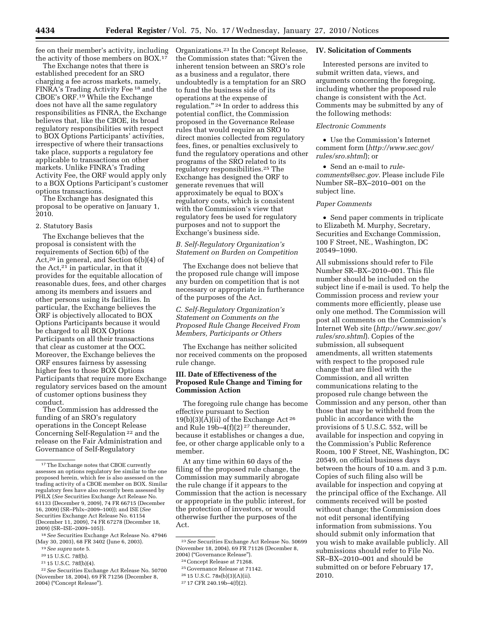fee on their member's activity, including the activity of those members on BOX.17

The Exchange notes that there is established precedent for an SRO charging a fee across markets, namely, FINRA's Trading Activity Fee 18 and the CBOE's ORF.19 While the Exchange does not have all the same regulatory responsibilities as FINRA, the Exchange believes that, like the CBOE, its broad regulatory responsibilities with respect to BOX Options Participants' activities, irrespective of where their transactions take place, supports a regulatory fee applicable to transactions on other markets. Unlike FINRA's Trading Activity Fee, the ORF would apply only to a BOX Options Participant's customer options transactions.

The Exchange has designated this proposal to be operative on January 1, 2010.

#### 2. Statutory Basis

The Exchange believes that the proposal is consistent with the requirements of Section 6(b) of the Act,20 in general, and Section 6(b)(4) of the Act,21 in particular, in that it provides for the equitable allocation of reasonable dues, fees, and other charges among its members and issuers and other persons using its facilities. In particular, the Exchange believes the ORF is objectively allocated to BOX Options Participants because it would be charged to all BOX Options Participants on all their transactions that clear as customer at the OCC. Moreover, the Exchange believes the ORF ensures fairness by assessing higher fees to those BOX Options Participants that require more Exchange regulatory services based on the amount of customer options business they conduct.

The Commission has addressed the funding of an SRO's regulatory operations in the Concept Release Concerning Self-Regulation 22 and the release on the Fair Administration and Governance of Self-Regulatory

Organizations.23 In the Concept Release, the Commission states that: ''Given the inherent tension between an SRO's role as a business and a regulator, there undoubtedly is a temptation for an SRO to fund the business side of its operations at the expense of regulation.'' 24 In order to address this potential conflict, the Commission proposed in the Governance Release rules that would require an SRO to direct monies collected from regulatory fees, fines, or penalties exclusively to fund the regulatory operations and other programs of the SRO related to its regulatory responsibilities.25 The Exchange has designed the ORF to generate revenues that will approximately be equal to BOX's regulatory costs, which is consistent with the Commission's view that regulatory fees be used for regulatory purposes and not to support the Exchange's business side.

## *B. Self-Regulatory Organization's Statement on Burden on Competition*

The Exchange does not believe that the proposed rule change will impose any burden on competition that is not necessary or appropriate in furtherance of the purposes of the Act.

# *C. Self-Regulatory Organization's Statement on Comments on the Proposed Rule Change Received From Members, Participants or Others*

The Exchange has neither solicited nor received comments on the proposed rule change.

## **III. Date of Effectiveness of the Proposed Rule Change and Timing for Commission Action**

The foregoing rule change has become effective pursuant to Section  $19(b)(3)(A)(ii)$  of the Exchange Act <sup>26</sup> and Rule 19b–4(f)(2) 27 thereunder, because it establishes or changes a due, fee, or other charge applicable only to a member.

At any time within 60 days of the filing of the proposed rule change, the Commission may summarily abrogate the rule change if it appears to the Commission that the action is necessary or appropriate in the public interest, for the protection of investors, or would otherwise further the purposes of the Act.

- 25 Governance Release at 71142.
- 26 15 U.S.C. 78s(b)(3)(A)(ii).

27 17 CFR 240.19b–4(f)(2).

# **IV. Solicitation of Comments**

Interested persons are invited to submit written data, views, and arguments concerning the foregoing, including whether the proposed rule change is consistent with the Act. Comments may be submitted by any of the following methods:

# *Electronic Comments*

• Use the Commission's Internet comment form (*http://www.sec.gov/ rules/sro.shtml*); or

• Send an e-mail to *rulecomments@sec.gov.* Please include File Number SR–BX–2010–001 on the subject line.

### *Paper Comments*

• Send paper comments in triplicate to Elizabeth M. Murphy, Secretary, Securities and Exchange Commission, 100 F Street, NE., Washington, DC 20549–1090.

All submissions should refer to File Number SR–BX–2010–001. This file number should be included on the subject line if e-mail is used. To help the Commission process and review your comments more efficiently, please use only one method. The Commission will post all comments on the Commission's Internet Web site (*http://www.sec.gov/ rules/sro.shtml*). Copies of the submission, all subsequent amendments, all written statements with respect to the proposed rule change that are filed with the Commission, and all written communications relating to the proposed rule change between the Commission and any person, other than those that may be withheld from the public in accordance with the provisions of 5 U.S.C. 552, will be available for inspection and copying in the Commission's Public Reference Room, 100 F Street, NE, Washington, DC 20549, on official business days between the hours of 10 a.m. and 3 p.m. Copies of such filing also will be available for inspection and copying at the principal office of the Exchange. All comments received will be posted without change; the Commission does not edit personal identifying information from submissions. You should submit only information that you wish to make available publicly. All submissions should refer to File No. SR–BX–2010–001 and should be submitted on or before February 17, 2010.

 $^{\rm 17}\!$  The Exchange notes that CBOE currently assesses an options regulatory fee similar to the one proposed herein, which fee is also assessed on the trading activity of a CBOE member on BOX. Similar regulatory fees have also recently been assessed by PHLX (*See* Securities Exchange Act Release No. 61133 (December 9, 2009), 74 FR 66715 (December 16, 2009) (SR–Phlx–2009–100)); and ISE (*See*  Securities Exchange Act Release No. 61154 (December 11, 2009), 74 FR 67278 (December 18, 2009) (SR–ISE–2009–105)).

<sup>18</sup>*See* Securities Exchange Act Release No. 47946 (May 30, 2003), 68 FR 3402 (June 6, 2003).

<sup>19</sup>*See supra* note 5.

<sup>20</sup> 15 U.S.C. 78f(b).

<sup>21</sup> 15 U.S.C. 78f(b)(4).

<sup>22</sup>*See* Securities Exchange Act Release No. 50700 (November 18, 2004), 69 FR 71256 (December 8, 2004) (''Concept Release'').

<sup>23</sup>*See* Securities Exchange Act Release No. 50699 (November 18, 2004), 69 FR 71126 (December 8, 2004) (''Governance Release'').

<sup>24</sup>Concept Release at 71268.